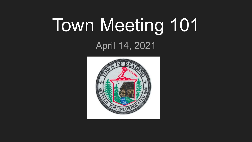# Town Meeting 101

April 14, 2021

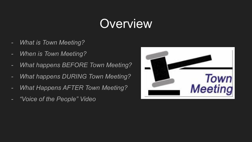# **Overview**

- *- What is Town Meeting?*
- *- When is Town Meeting?*
- *- What happens BEFORE Town Meeting?*
- *- What happens DURING Town Meeting?*
- *- What Happens AFTER Town Meeting?*
- *- "Voice of the People" Video*

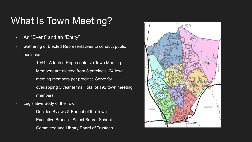## What Is Town Meeting?

- An "Event" and an "Entity"
- Gathering of Elected Representatives to conduct public business
	- 1944 Adopted Representative Town Meeting. Members are elected from 8 precincts. 24 town meeting members per precinct. Serve for overlapping 3 year terms. Total of 192 town meeting members.
- Legislative Body of the Town
	- Decides Bylaws & Budget of the Town.
	- Executive Branch Select Board, School Committee and Library Board of Trustees.

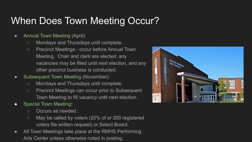## When Does Town Meeting Occur?

- Annual Town Meeting (April):
	- Mondays and Thursdays until complete.
	- Precinct Meetings occur before Annual Town Meeting. Chair and clerk are elected, any vacancies may be filled until next election, and any other precinct business is conducted.
- Subsequent Town Meeting (November):
	- Mondays and Thursdays until complete.
	- Precinct Meetings can occur prior to Subsequent Town Meeting to fill vacancy until next election.
- Special Town Meeting:
	- Occurs as needed.
	- May be called by voters (20% of or 200 registered voters file written request) or Select Board.
- All Town Meetings take place at the RMHS Performing Arts Center unless otherwise noted in posting.

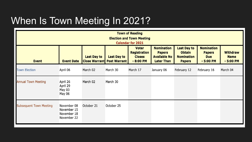## When Is Town Meeting In 2021?

| <b>Town of Reading</b><br><b>Election and Town Meeting</b><br><b>Calendar for 2021</b> |                                                          |                    |                                                         |                                                                    |                                                                                |                                                                           |                                                                |                                              |  |
|----------------------------------------------------------------------------------------|----------------------------------------------------------|--------------------|---------------------------------------------------------|--------------------------------------------------------------------|--------------------------------------------------------------------------------|---------------------------------------------------------------------------|----------------------------------------------------------------|----------------------------------------------|--|
| <b>Event</b>                                                                           | <b>Event Date</b>                                        | <b>Last Day to</b> | <b>Last Day to</b><br><b>Close Warrant Post Warrant</b> | <b>Voter</b><br><b>Registration</b><br><b>Closes</b><br>$-8:00$ PM | <b>Nomination</b><br><b>Papers</b><br><b>Available No</b><br><b>Later Than</b> | <b>Last Day to</b><br><b>Obtain</b><br><b>Nomination</b><br><b>Papers</b> | <b>Nomination</b><br><b>Papers</b><br><b>Due</b><br>$-5:00$ PM | <b>Withdraw</b><br><b>Name</b><br>$-5:00$ PM |  |
| <b>Town Election</b>                                                                   | April 06                                                 | March 02           | March 30                                                | March 17                                                           | January 06                                                                     | February 12                                                               | February 16                                                    | March 04                                     |  |
| <b>Annual Town Meeting</b>                                                             | April 26<br>April 29<br>May 03<br>May 06                 | March 02           | March 30                                                |                                                                    |                                                                                |                                                                           |                                                                |                                              |  |
| <b>Subsequent Town Meeting</b>                                                         | November 08<br>November 15<br>November 18<br>November 22 | October 21         | October 25                                              |                                                                    |                                                                                |                                                                           |                                                                |                                              |  |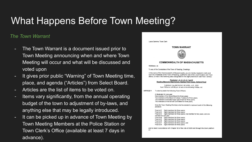## What Happens Before Town Meeting?

#### *The Town Warrant*

- The Town Warrant is a document issued prior to Town Meeting announcing when and where Town Meeting will occur and what will be discussed and voted upon
- It gives prior public "Warning" of Town Meeting time, place, and agenda ("Articles") from Select Board.
- Articles are the list of items to be voted on.
- Items vary significantly, from the annual [operating](https://en.wikipedia.org/wiki/Operating_budget)  [budget](https://en.wikipedia.org/wiki/Operating_budget) of the town to adjustment of [by-laws,](https://en.wikipedia.org/wiki/By-law) and anything else that may be legally introduced.
- It can be picked up in advance of Town Meeting by Town Meeting Members at the Police Station or Town Clerk's Office (available at least 7 days in advance).

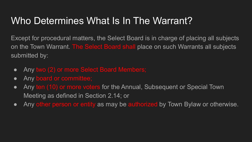## Who Determines What Is In The Warrant?

Except for procedural matters, the Select Board is in charge of placing all subjects on the Town Warrant. The Select Board shall place on such Warrants all subjects submitted by:

- Any two (2) or more Select Board Members;
- Any board or committee;
- Any ten (10) or more voters for the Annual, Subsequent or Special Town Meeting as defined in Section 2.14; or
- Any other person or entity as may be authorized by Town Bylaw or otherwise.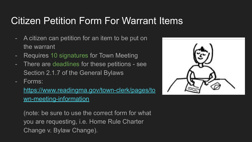## Citizen Petition Form For Warrant Items

- A citizen can petition for an item to be put on the warrant
- Requires 10 signatures for Town Meeting
- There are deadlines for these petitions see Section 2.1.7 of the General Bylaws
- Forms:

[https://www.readingma.gov/town-clerk/pages/to](https://www.readingma.gov/town-clerk/pages/town-meeting-information) [wn-meeting-information](https://www.readingma.gov/town-clerk/pages/town-meeting-information)

(note: be sure to use the correct form for what you are requesting, i.e. Home Rule Charter Change v. Bylaw Change).

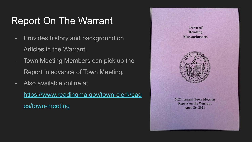## Report On The Warrant

- Provides history and background on Articles in the Warrant.
- Town Meeting Members can pick up the Report in advance of Town Meeting.
- Also available online at

[https://www.readingma.gov/town-clerk/pag](https://www.readingma.gov/town-clerk/pages/town-meeting) [es/town-meeting](https://www.readingma.gov/town-clerk/pages/town-meeting)

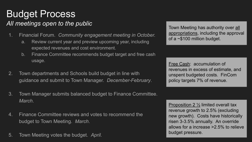### Budget Process *All meetings open to the public*

- 1. Financial Forum. *Community engagement meeting in October.*
	- a. Review current year and preview upcoming year, including expected revenues and cost environment.
	- b. Finance Committee recommends budget target and free cash usage.
- 2. Town departments and Schools build budget in line with guidance and submit to Town Manager. *December-February*.
- 3. Town Manager submits balanced budget to Finance Committee. *March*.
- 4. Finance Committee reviews and votes to recommend the budget to Town Meeting. *March*.
- 5. Town Meeting votes the budget. *April.*

Town Meeting has authority over all appropriations, including the approval of a ~\$100 million budget.

Free Cash: accumulation of revenues in excess of estimate, and unspent budgeted costs. FinCom policy targets 7% of revenue.

Proposition 2 ½ limited overall tax revenue growth to 2.5% (excluding new growth). Costs have historically risen 3-3.5% annually. An override allows for a increase >2.5% to relieve budget pressure.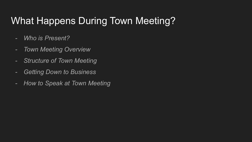## What Happens During Town Meeting?

- *- Who is Present?*
- *- Town Meeting Overview*
- *- Structure of Town Meeting*
- *- Getting Down to Business*
- *- How to Speak at Town Meeting*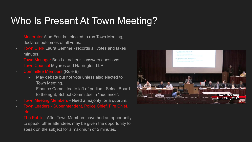## Who Is Present At Town Meeting?

- **Moderator Alan Foulds elected to run Town Meeting,** declares outcomes of all votes.
- Town Clerk Laura Gemme records all votes and takes minutes.
- Town Manager Bob LeLacheur answers questions.
- **Town Counsel Miyares and Harrington LLP**
- Committee Members (Rule 9)
	- May debate but not vote unless also elected to Town Meeting.
	- Finance Committee to left of podium, Select Board to the right, School Committee in "audience".
- Town Meeting Members Need a majority for a quorum.
- Town Leaders Superintendent, Police Chief, Fire Chief,
- The Public After Town Members have had an opportunity to speak, other attendees may be given the opportunity to speak on the subject for a maximum of 5 minutes.

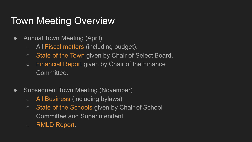## Town Meeting Overview

- Annual Town Meeting (April)
	- All Fiscal matters (including budget).
	- State of the Town given by Chair of Select Board.
	- Financial Report given by Chair of the Finance Committee.
- Subsequent Town Meeting (November)
	- All Business (including bylaws).
	- State of the Schools given by Chair of School Committee and Superintendent.
	- RMLD Report.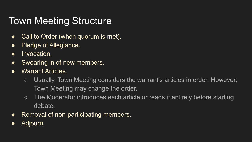## Town Meeting Structure

- Call to Order (when quorum is met).
- Pledge of Allegiance.
- Invocation.
- Swearing in of new members.
- Warrant Articles.
	- Usually, Town Meeting considers the warrant's articles in order. However, Town Meeting may change the order.
	- The Moderator introduces each article or reads it entirely before starting debate.
- Removal of non-participating members.
- Adjourn.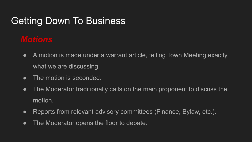## Getting Down To Business

## *Motions*

- A motion is made under a warrant article, telling Town Meeting exactly what we are discussing.
- The motion is seconded.
- The Moderator traditionally calls on the main proponent to discuss the motion.
- Reports from relevant advisory committees (Finance, Bylaw, etc.).
- The Moderator opens the floor to debate.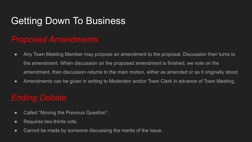## Getting Down To Business

#### *Proposed Amendments*

- Any Town Meeting Member may propose an amendment to the proposal. Discussion then turns to the amendment. When discussion on the proposed amendment is finished, we vote on the amendment, then discussion returns to the main motion, either as amended or as it originally stood.
- Amendments can be given in writing to Moderator and/or Town Clerk in advance of Town Meeting.

#### *Ending Debate*

- Called "Moving the Previous Question".
- Requires two-thirds vote.
- Cannot be made by someone discussing the merits of the issue.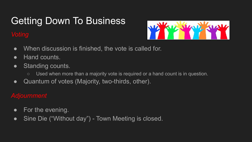## Getting Down To Business

#### *Voting*



- When discussion is finished, the vote is called for.
- Hand counts.
- Standing counts.
	- Used when more than a majority vote is required or a hand count is in question.
- Quantum of votes (Majority, two-thirds, other).

#### *Adjournment*

- For the evening.
- Sine Die ("Without day") Town Meeting is closed.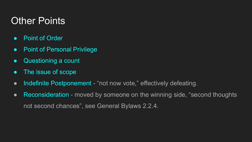## Other Points

- Point of Order
- Point of Personal Privilege
- Questioning a count
- The issue of scope
- Indefinite Postponement "not now vote," effectively defeating.
- Reconsideration moved by someone on the winning side, "second thoughts not second chances", see General Bylaws 2.2.4.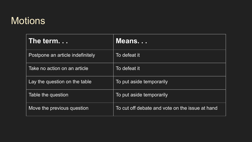## **Motions**

| The term                         | Means                                           |  |  |  |
|----------------------------------|-------------------------------------------------|--|--|--|
| Postpone an article indefinitely | To defeat it                                    |  |  |  |
| Take no action on an article     | To defeat it                                    |  |  |  |
| Lay the question on the table    | To put aside temporarily                        |  |  |  |
| Table the question               | To put aside temporarily                        |  |  |  |
| Move the previous question       | To cut off debate and vote on the issue at hand |  |  |  |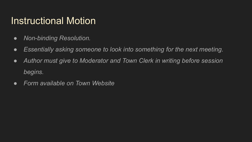## Instructional Motion

- *● Non-binding Resolution.*
- *● Essentially asking someone to look into something for the next meeting.*
- *● Author must give to Moderator and Town Clerk in writing before session begins.*
- *● Form available on Town Website*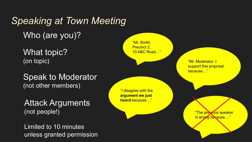## *Speaking at Town Meeting* Who (are you)?

What topic? (on topic)

Speak to Moderator (not other members)

Attack Arguments (not people!)

Limited to 10 minutes unless granted permission

"Mr. Smith, Precinct 2, 10 ABC Road…"

> "Mr. Moderator: I support this proposal because...."

"I disagree with the **argument we just heard** because...."

> "The previous speaker is wrong because...."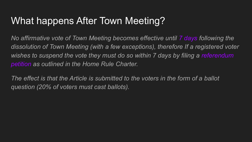## What happens After Town Meeting?

*No affirmative vote of Town Meeting becomes effective until 7 days following the dissolution of Town Meeting (with a few exceptions), therefore If a registered voter wishes to suspend the vote they must do so within 7 days by filing a referendum petition as outlined in the Home Rule Charter.* 

*The effect is that the Article is submitted to the voters in the form of a ballot question (20% of voters must cast ballots).*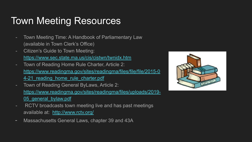## Town Meeting Resources

- Town Meeting Time: A Handbook of Parliamentary Law (available in Town Clerk's Office)
- Citizen's Guide to Town Meeting: <https://www.sec.state.ma.us/cis/cistwn/twnidx.htm>
- Town of Reading Home Rule Charter, Article 2: [https://www.readingma.gov/sites/readingma/files/file/file/2015-0](https://www.readingma.gov/sites/readingma/files/file/file/2015-04-21_reading_home_rule_charter.pdf) 4-21 reading home rule charter.pdf
- Town of Reading General ByLaws, Article 2: [https://www.readingma.gov/sites/readingma/files/uploads/2019-](https://www.readingma.gov/sites/readingma/files/uploads/2019-05_general_bylaw.pdf) 05 general bylaw.pdf
- RCTV broadcasts town meeting live and has past meetings available at: <http://www.rctv.org/>
- Massachusetts General Laws, chapter 39 and 43A

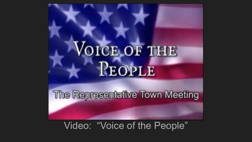

Video: "Voice of the People"